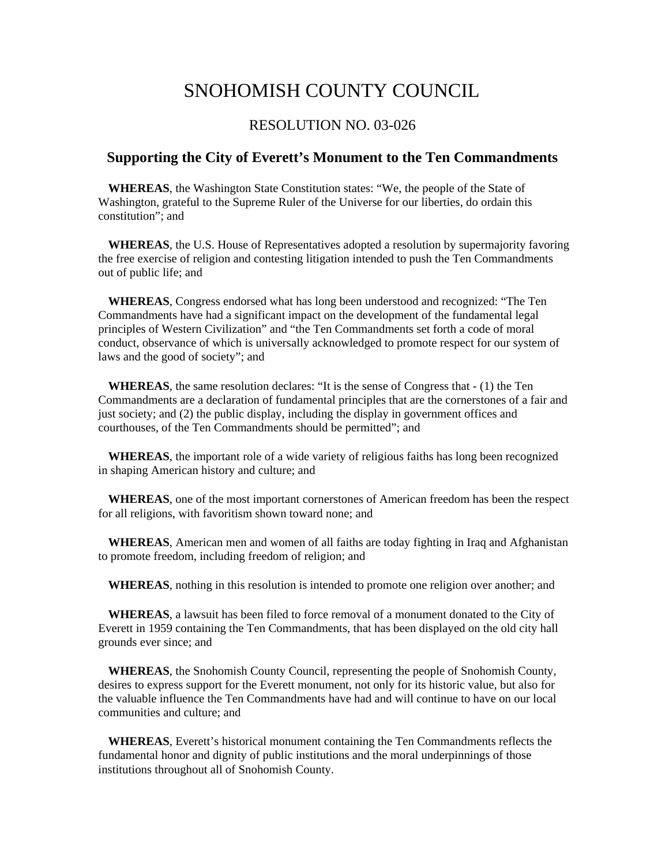## SNOHOMISH COUNTY COUNCIL

## RESOLUTION NO. 03-026

## **Supporting the City of Everett's Monument to the Ten Commandments**

**WHEREAS**, the Washington State Constitution states: "We, the people of the State of Washington, grateful to the Supreme Ruler of the Universe for our liberties, do ordain this constitution"; and

**WHEREAS**, the U.S. House of Representatives adopted a resolution by supermajority favoring the free exercise of religion and contesting litigation intended to push the Ten Commandments out of public life; and

**WHEREAS**, Congress endorsed what has long been understood and recognized: "The Ten Commandments have had a significant impact on the development of the fundamental legal principles of Western Civilization" and "the Ten Commandments set forth a code of moral conduct, observance of which is universally acknowledged to promote respect for our system of laws and the good of society"; and

**WHEREAS**, the same resolution declares: "It is the sense of Congress that - (1) the Ten Commandments are a declaration of fundamental principles that are the cornerstones of a fair and just society; and (2) the public display, including the display in government offices and courthouses, of the Ten Commandments should be permitted"; and

**WHEREAS**, the important role of a wide variety of religious faiths has long been recognized in shaping American history and culture; and

**WHEREAS**, one of the most important cornerstones of American freedom has been the respect for all religions, with favoritism shown toward none; and

**WHEREAS**, American men and women of all faiths are today fighting in Iraq and Afghanistan to promote freedom, including freedom of religion; and

**WHEREAS**, nothing in this resolution is intended to promote one religion over another; and

**WHEREAS**, a lawsuit has been filed to force removal of a monument donated to the City of Everett in 1959 containing the Ten Commandments, that has been displayed on the old city hall grounds ever since; and

**WHEREAS**, the Snohomish County Council, representing the people of Snohomish County, desires to express support for the Everett monument, not only for its historic value, but also for the valuable influence the Ten Commandments have had and will continue to have on our local communities and culture; and

**WHEREAS**, Everett's historical monument containing the Ten Commandments reflects the fundamental honor and dignity of public institutions and the moral underpinnings of those institutions throughout all of Snohomish County.